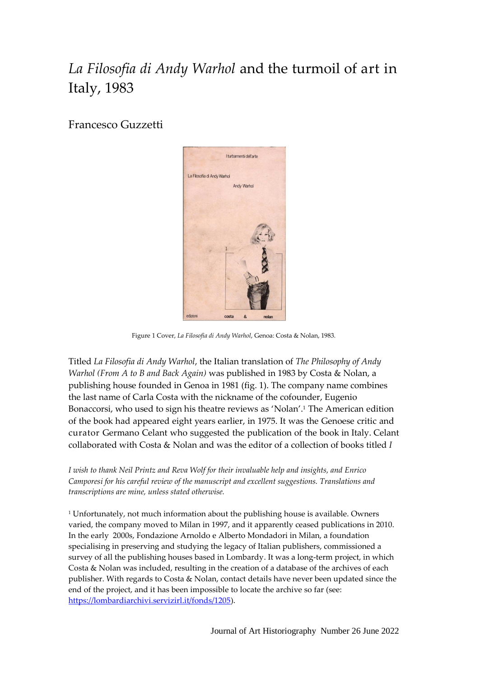## *La Filosofia di Andy Warhol* and the turmoil of art in Italy, 1983

Francesco Guzzetti



Figure 1 Cover, *La Filosofia di Andy Warhol*, Genoa: Costa & Nolan, 1983.

Titled *La Filosofia di Andy Warhol*, the Italian translation of *The Philosophy of Andy Warhol (From A to B and Back Again)* was published in 1983 by Costa & Nolan, a publishing house founded in Genoa in 1981 (fig. 1). The company name combines the last name of Carla Costa with the nickname of the cofounder, Eugenio Bonaccorsi, who used to sign his theatre reviews as 'Nolan'. <sup>1</sup> The American edition of the book had appeared eight years earlier, in 1975. It was the Genoese critic and curator Germano Celant who suggested the publication of the book in Italy. Celant collaborated with Costa & Nolan and was the editor of a collection of books titled *I* 

*I wish to thank Neil Printz and Reva Wolf for their invaluable help and insights, and Enrico Camporesi for his careful review of the manuscript and excellent suggestions. Translations and transcriptions are mine, unless stated otherwise.*

<sup>1</sup> Unfortunately, not much information about the publishing house is available. Owners varied, the company moved to Milan in 1997, and it apparently ceased publications in 2010. In the early 2000s, Fondazione Arnoldo e Alberto Mondadori in Milan, a foundation specialising in preserving and studying the legacy of Italian publishers, commissioned a survey of all the publishing houses based in Lombardy. It was a long-term project, in which Costa & Nolan was included, resulting in the creation of a database of the archives of each publisher. With regards to Costa & Nolan, contact details have never been updated since the end of the project, and it has been impossible to locate the archive so far (see: [https://lombardiarchivi.servizirl.it/fonds/1205\)](https://lombardiarchivi.servizirl.it/fonds/1205).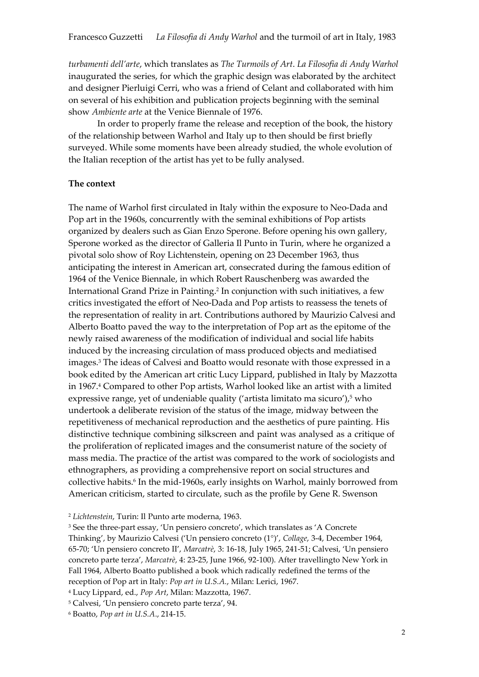*turbamenti dell'arte*, which translates as *The Turmoils of Art*. *La Filosofia di Andy Warhol* inaugurated the series, for which the graphic design was elaborated by the architect and designer Pierluigi Cerri, who was a friend of Celant and collaborated with him on several of his exhibition and publication projects beginning with the seminal show *Ambiente arte* at the Venice Biennale of 1976.

In order to properly frame the release and reception of the book, the history of the relationship between Warhol and Italy up to then should be first briefly surveyed. While some moments have been already studied, the whole evolution of the Italian reception of the artist has yet to be fully analysed.

## **The context**

The name of Warhol first circulated in Italy within the exposure to Neo-Dada and Pop art in the 1960s, concurrently with the seminal exhibitions of Pop artists organized by dealers such as Gian Enzo Sperone. Before opening his own gallery, Sperone worked as the director of Galleria Il Punto in Turin, where he organized a pivotal solo show of Roy Lichtenstein, opening on 23 December 1963, thus anticipating the interest in American art, consecrated during the famous edition of 1964 of the Venice Biennale, in which Robert Rauschenberg was awarded the International Grand Prize in Painting. 2 In conjunction with such initiatives, a few critics investigated the effort of Neo-Dada and Pop artists to reassess the tenets of the representation of reality in art. Contributions authored by Maurizio Calvesi and Alberto Boatto paved the way to the interpretation of Pop art as the epitome of the newly raised awareness of the modification of individual and social life habits induced by the increasing circulation of mass produced objects and mediatised images. <sup>3</sup> The ideas of Calvesi and Boatto would resonate with those expressed in a book edited by the American art critic Lucy Lippard, published in Italy by Mazzotta in 1967.<sup>4</sup> Compared to other Pop artists, Warhol looked like an artist with a limited expressive range, yet of undeniable quality ('artista limitato ma sicuro'), <sup>5</sup> who undertook a deliberate revision of the status of the image, midway between the repetitiveness of mechanical reproduction and the aesthetics of pure painting. His distinctive technique combining silkscreen and paint was analysed as a critique of the proliferation of replicated images and the consumerist nature of the society of mass media. The practice of the artist was compared to the work of sociologists and ethnographers, as providing a comprehensive report on social structures and collective habits.<sup>6</sup> In the mid-1960s, early insights on Warhol, mainly borrowed from American criticism, started to circulate, such as the profile by Gene R. Swenson

<sup>2</sup> *Lichtenstein*, Turin: Il Punto arte moderna, 1963.

<sup>3</sup> See the three-part essay, 'Un pensiero concreto', which translates as 'A Concrete Thinking', by Maurizio Calvesi ('Un pensiero concreto (1°)', *Collage*, 3-4, December 1964, 65-70; 'Un pensiero concreto II', *Marcatrè*, 3: 16-18, July 1965, 241-51; Calvesi, 'Un pensiero concreto parte terza', *Marcatrè*, 4: 23-25, June 1966, 92-100). After travellingto New York in Fall 1964, Alberto Boatto published a book which radically redefined the terms of the reception of Pop art in Italy: *Pop art in U.S.A.*, Milan: Lerici, 1967.

<sup>4</sup> Lucy Lippard, ed., *Pop Art*, Milan: Mazzotta, 1967.

<sup>5</sup> Calvesi, 'Un pensiero concreto parte terza', 94.

<sup>6</sup> Boatto, *Pop art in U.S.A*., 214-15.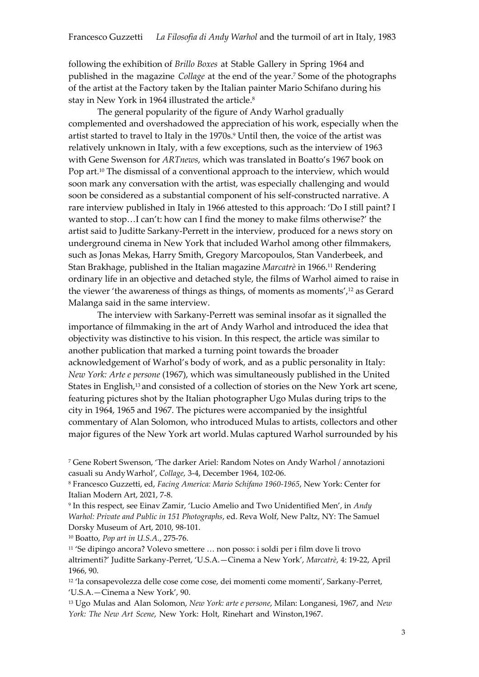following the exhibition of *Brillo Boxes* at Stable Gallery in Spring 1964 and published in the magazine *Collage* at the end of the year.<sup>7</sup> Some of the photographs of the artist at the Factory taken by the Italian painter Mario Schifano during his stay in New York in 1964 illustrated the article. 8

The general popularity of the figure of Andy Warhol gradually complemented and overshadowed the appreciation of his work, especially when the artist started to travel to Italy in the 1970s.<sup>9</sup> Until then, the voice of the artist was relatively unknown in Italy, with a few exceptions, such as the interview of 1963 with Gene Swenson for *ARTnews*, which was translated in Boatto's 1967 book on Pop art. <sup>10</sup> The dismissal of a conventional approach to the interview, which would soon mark any conversation with the artist, was especially challenging and would soon be considered as a substantial component of his self-constructed narrative. A rare interview published in Italy in 1966 attested to this approach: 'Do I still paint? I wanted to stop…I can't: how can I find the money to make films otherwise?' the artist said to Juditte Sarkany-Perrett in the interview, produced for a news story on underground cinema in New York that included Warhol among other filmmakers, such as Jonas Mekas, Harry Smith, Gregory Marcopoulos, Stan Vanderbeek, and Stan Brakhage, published in the Italian magazine *Marcatrè* in 1966.<sup>11</sup> Rendering ordinary life in an objective and detached style, the films of Warhol aimed to raise in the viewer 'the awareness of things as things, of moments as moments',<sup>12</sup> as Gerard Malanga said in the same interview.

The interview with Sarkany-Perrett was seminal insofar as it signalled the importance of filmmaking in the art of Andy Warhol and introduced the idea that objectivity was distinctive to his vision. In this respect, the article was similar to another publication that marked a turning point towards the broader acknowledgement of Warhol's body of work, and as a public personality in Italy: *New York: Arte e persone* (1967), which was simultaneously published in the United States in English, <sup>13</sup> and consisted of a collection of stories on the New York art scene, featuring pictures shot by the Italian photographer Ugo Mulas during trips to the city in 1964, 1965 and 1967. The pictures were accompanied by the insightful commentary of Alan Solomon, who introduced Mulas to artists, collectors and other major figures of the New York art world.Mulas captured Warhol surrounded by his

<sup>10</sup> Boatto, *Pop art in U.S.A.*, 275-76.

<sup>11</sup> 'Se dipingo ancora? Volevo smettere … non posso: i soldi per i film dove li trovo altrimenti?' Juditte Sarkany-Perret, 'U.S.A.—Cinema a New York', *Marcatrè*, 4: 19-22, April 1966, 90.

<sup>12</sup> 'la consapevolezza delle cose come cose, dei momenti come momenti', Sarkany-Perret, 'U.S.A.—Cinema a New York', 90.

<sup>13</sup> Ugo Mulas and Alan Solomon, *New York: arte e persone*, Milan: Longanesi, 1967, and *New York: The New Art Scene*, New York: Holt, Rinehart and Winston,1967.

<sup>7</sup> Gene Robert Swenson, 'The darker Ariel: Random Notes on Andy Warhol / annotazioni casuali su Andy Warhol', *Collage*, 3-4, December 1964, 102-06.

<sup>8</sup> Francesco Guzzetti, ed, *Facing America: Mario Schifano 1960-1965*, New York: Center for Italian Modern Art, 2021, 7-8.

<sup>9</sup> In this respect, see Einav Zamir, 'Lucio Amelio and Two Unidentified Men', in *Andy Warhol: Private and Public in 151 Photographs*, ed. Reva Wolf, New Paltz, NY: The Samuel Dorsky Museum of Art, 2010, 98-101.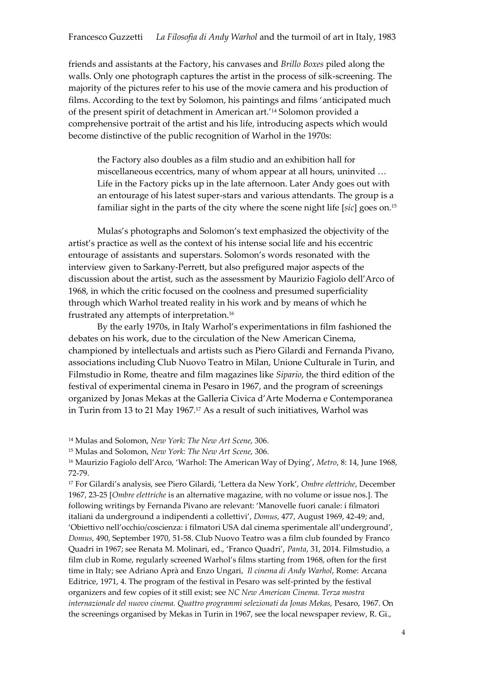friends and assistants at the Factory, his canvases and *Brillo Boxes* piled along the walls. Only one photograph captures the artist in the process of silk-screening. The majority of the pictures refer to his use of the movie camera and his production of films. According to the text by Solomon, his paintings and films 'anticipated much of the present spirit of detachment in American art.'<sup>14</sup> Solomon provided a comprehensive portrait of the artist and his life, introducing aspects which would become distinctive of the public recognition of Warhol in the 1970s:

the Factory also doubles as a film studio and an exhibition hall for miscellaneous eccentrics, many of whom appear at all hours, uninvited … Life in the Factory picks up in the late afternoon. Later Andy goes out with an entourage of his latest super-stars and various attendants. The group is a familiar sight in the parts of the city where the scene night life [*sic*] goes on.<sup>15</sup>

Mulas's photographs and Solomon's text emphasized the objectivity of the artist's practice as well as the context of his intense social life and his eccentric entourage of assistants and superstars. Solomon's words resonated with the interview given to Sarkany-Perrett, but also prefigured major aspects of the discussion about the artist, such as the assessment by Maurizio Fagiolo dell'Arco of 1968, in which the critic focused on the coolness and presumed superficiality through which Warhol treated reality in his work and by means of which he frustrated any attempts of interpretation.<sup>16</sup>

By the early 1970s, in Italy Warhol's experimentations in film fashioned the debates on his work, due to the circulation of the New American Cinema, championed by intellectuals and artists such as Piero Gilardi and Fernanda Pivano, associations including Club Nuovo Teatro in Milan, Unione Culturale in Turin, and Filmstudio in Rome, theatre and film magazines like *Sipario*, the third edition of the festival of experimental cinema in Pesaro in 1967, and the program of screenings organized by Jonas Mekas at the Galleria Civica d'Arte Moderna e Contemporanea in Turin from 13 to 21 May 1967.<sup>17</sup> As a result of such initiatives, Warhol was

<sup>14</sup> Mulas and Solomon, *New York: The New Art Scene*, 306.

<sup>15</sup> Mulas and Solomon, *New York: The New Art Scene*, 306.

<sup>16</sup> Maurizio Fagiolo dell'Arco, 'Warhol: The American Way of Dying', *Metro*, 8: 14, June 1968, 72-79.

<sup>17</sup> For Gilardi's analysis, see Piero Gilardi, 'Lettera da New York', *Ombre elettriche*, December 1967, 23-25 [*Ombre elettriche* is an alternative magazine, with no volume or issue nos.]. The following writings by Fernanda Pivano are relevant: 'Manovelle fuori canale: i filmatori italiani da underground a indipendenti a collettivi', *Domus*, 477, August 1969, 42-49; and, 'Obiettivo nell'occhio/coscienza: i filmatori USA dal cinema sperimentale all'underground', *Domus*, 490, September 1970, 51-58. Club Nuovo Teatro was a film club founded by Franco Quadri in 1967; see Renata M. Molinari, ed., 'Franco Quadri', *Panta*, 31, 2014. Filmstudio, a film club in Rome, regularly screened Warhol's films starting from 1968, often for the first time in Italy; see Adriano Aprà and Enzo Ungari, *Il cinema di Andy Warhol*, Rome: Arcana Editrice, 1971, 4. The program of the festival in Pesaro was self-printed by the festival organizers and few copies of it still exist; see *NC New American Cinema. Terza mostra internazionale del nuovo cinema. Quattro programmi selezionati da Jonas Mekas*, Pesaro, 1967. On the screenings organised by Mekas in Turin in 1967, see the local newspaper review, R. Gi.,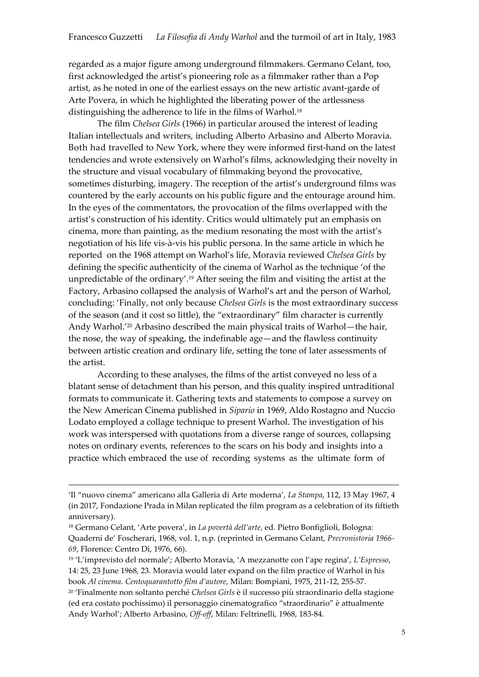regarded as a major figure among underground filmmakers. Germano Celant, too, first acknowledged the artist's pioneering role as a filmmaker rather than a Pop artist, as he noted in one of the earliest essays on the new artistic avant-garde of Arte Povera, in which he highlighted the liberating power of the artlessness distinguishing the adherence to life in the films of Warhol.<sup>18</sup>

The film *Chelsea Girls* (1966) in particular aroused the interest of leading Italian intellectuals and writers, including Alberto Arbasino and Alberto Moravia. Both had travelled to New York, where they were informed first-hand on the latest tendencies and wrote extensively on Warhol's films, acknowledging their novelty in the structure and visual vocabulary of filmmaking beyond the provocative, sometimes disturbing, imagery. The reception of the artist's underground films was countered by the early accounts on his public figure and the entourage around him. In the eyes of the commentators, the provocation of the films overlapped with the artist's construction of his identity. Critics would ultimately put an emphasis on cinema, more than painting, as the medium resonating the most with the artist's negotiation of his life vis-à-vis his public persona. In the same article in which he reported on the 1968 attempt on Warhol's life, Moravia reviewed *Chelsea Girls* by defining the specific authenticity of the cinema of Warhol as the technique 'of the unpredictable of the ordinary'.<sup>19</sup> After seeing the film and visiting the artist at the Factory, Arbasino collapsed the analysis of Warhol's art and the person of Warhol, concluding: 'Finally, not only because *Chelsea Girls* is the most extraordinary success of the season (and it cost so little), the "extraordinary" film character is currently Andy Warhol.<sup>'20</sup> Arbasino described the main physical traits of Warhol-the hair, the nose, the way of speaking, the indefinable age—and the flawless continuity between artistic creation and ordinary life, setting the tone of later assessments of the artist.

According to these analyses, the films of the artist conveyed no less of a blatant sense of detachment than his person, and this quality inspired untraditional formats to communicate it. Gathering texts and statements to compose a survey on the New American Cinema published in *Sipario* in 1969, Aldo Rostagno and Nuccio Lodato employed a collage technique to present Warhol. The investigation of his work was interspersed with quotations from a diverse range of sources, collapsing notes on ordinary events, references to the scars on his body and insights into a practice which embraced the use of recording systems as the ultimate form of

<u>.</u>

<sup>&#</sup>x27;Il "nuovo cinema" americano alla Galleria di Arte moderna', *La Stampa*, 112, 13 May 1967, 4 (in 2017, Fondazione Prada in Milan replicated the film program as a celebration of its fiftieth anniversary).

<sup>18</sup> Germano Celant, 'Arte povera', in *La povertà dell'arte*, ed. Pietro Bonfiglioli, Bologna: Quaderni de' Foscherari, 1968, vol. 1, n.p. (reprinted in Germano Celant, *Precronistoria 1966- 69*, Florence: Centro Di, 1976, 66).

<sup>19</sup> 'L'imprevisto del normale'; Alberto Moravia, 'A mezzanotte con l'ape regina', *L'Espresso*, 14: 25, 23 June 1968, 23. Moravia would later expand on the film practice of Warhol in his book *Al cinema. Centoquarantotto film d'autore*, Milan: Bompiani, 1975, 211-12, 255-57.

<sup>20</sup> 'Finalmente non soltanto perché *Chelsea Girls* è il successo più straordinario della stagione (ed era costato pochissimo) il personaggio cinematografico "straordinario" è attualmente Andy Warhol'; Alberto Arbasino, *Off-off*, Milan: Feltrinelli, 1968, 183-84.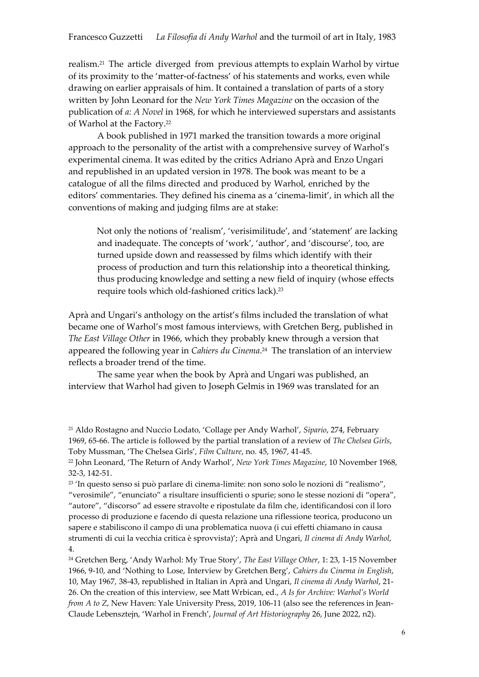realism.<sup>21</sup> The article diverged from previous attempts to explain Warhol by virtue of its proximity to the 'matter-of-factness' of his statements and works, even while drawing on earlier appraisals of him. It contained a translation of parts of a story written by John Leonard for the *New York Times Magazine* on the occasion of the publication of *a: A Novel* in 1968, for which he interviewed superstars and assistants of Warhol at the Factory.<sup>22</sup>

A book published in 1971 marked the transition towards a more original approach to the personality of the artist with a comprehensive survey of Warhol's experimental cinema. It was edited by the critics Adriano Aprà and Enzo Ungari and republished in an updated version in 1978. The book was meant to be a catalogue of all the films directed and produced by Warhol, enriched by the editors' commentaries. They defined his cinema as a 'cinema-limit', in which all the conventions of making and judging films are at stake:

Not only the notions of 'realism', 'verisimilitude', and 'statement' are lacking and inadequate. The concepts of 'work', 'author', and 'discourse', too, are turned upside down and reassessed by films which identify with their process of production and turn this relationship into a theoretical thinking, thus producing knowledge and setting a new field of inquiry (whose effects require tools which old-fashioned critics lack).<sup>23</sup>

Aprà and Ungari's anthology on the artist's films included the translation of what became one of Warhol's most famous interviews, with Gretchen Berg, published in *The East Village Other* in 1966, which they probably knew through a version that appeared the following year in *Cahiers du Cinema*. <sup>24</sup> The translation of an interview reflects a broader trend of the time.

The same year when the book by Aprà and Ungari was published, an interview that Warhol had given to Joseph Gelmis in 1969 was translated for an

<sup>21</sup> Aldo Rostagno and Nuccio Lodato, 'Collage per Andy Warhol', *Sipario*, 274, February 1969, 65-66. The article is followed by the partial translation of a review of *The Chelsea Girls*, Toby Mussman, 'The Chelsea Girls', *Film Culture*, no. 45, 1967, 41-45.

<sup>22</sup> John Leonard, 'The Return of Andy Warhol', *New York Times Magazine*, 10 November 1968, 32-3, 142-51.

<sup>23</sup> 'In questo senso si può parlare di cinema-limite: non sono solo le nozioni di "realismo", "verosimile", "enunciato" a risultare insufficienti o spurie; sono le stesse nozioni di "opera", "autore", "discorso" ad essere stravolte e ripostulate da film che, identificandosi con il loro processo di produzione e facendo di questa relazione una riflessione teorica, producono un sapere e stabiliscono il campo di una problematica nuova (i cui effetti chiamano in causa strumenti di cui la vecchia critica è sprovvista)'; Aprà and Ungari, *Il cinema di Andy Warhol*, 4.

<sup>24</sup> Gretchen Berg, 'Andy Warhol: My True Story', *The East Village Other*, 1: 23, 1-15 November 1966, 9-10, and 'Nothing to Lose, Interview by Gretchen Berg', *Cahiers du Cinema in English*, 10, May 1967, 38-43, republished in Italian in Aprà and Ungari, *Il cinema di Andy Warhol*, 21- 26. On the creation of this interview, see Matt Wrbican, ed., *A Is for Archive: Warhol's World from A to Z*, New Haven: Yale University Press, 2019, 106-11 (also see the references in Jean-Claude Lebensztejn, 'Warhol in French', *Journal of Art Historiography* 26, June 2022, n2).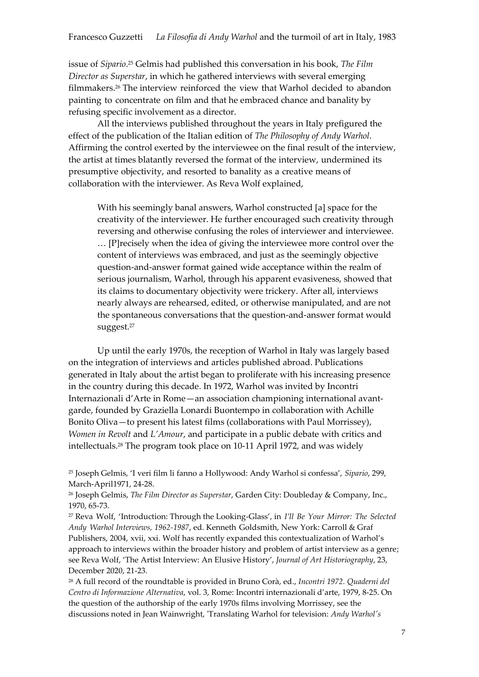issue of *Sipario*. <sup>25</sup> Gelmis had published this conversation in his book, *The Film Director as Superstar*, in which he gathered interviews with several emerging filmmakers.<sup>26</sup> The interview reinforced the view that Warhol decided to abandon painting to concentrate on film and that he embraced chance and banality by refusing specific involvement as a director.

All the interviews published throughout the years in Italy prefigured the effect of the publication of the Italian edition of *The Philosophy of Andy Warhol*. Affirming the control exerted by the interviewee on the final result of the interview, the artist at times blatantly reversed the format of the interview, undermined its presumptive objectivity, and resorted to banality as a creative means of collaboration with the interviewer. As Reva Wolf explained,

With his seemingly banal answers, Warhol constructed [a] space for the creativity of the interviewer. He further encouraged such creativity through reversing and otherwise confusing the roles of interviewer and interviewee. … [P]recisely when the idea of giving the interviewee more control over the content of interviews was embraced, and just as the seemingly objective question-and-answer format gained wide acceptance within the realm of serious journalism, Warhol, through his apparent evasiveness, showed that its claims to documentary objectivity were trickery. After all, interviews nearly always are rehearsed, edited, or otherwise manipulated, and are not the spontaneous conversations that the question-and-answer format would suggest.<sup>27</sup>

Up until the early 1970s, the reception of Warhol in Italy was largely based on the integration of interviews and articles published abroad. Publications generated in Italy about the artist began to proliferate with his increasing presence in the country during this decade. In 1972, Warhol was invited by Incontri Internazionali d'Arte in Rome—an association championing international avantgarde, founded by Graziella Lonardi Buontempo in collaboration with Achille Bonito Oliva—to present his latest films (collaborations with Paul Morrissey), *Women in Revolt* and *L'Amour*, and participate in a public debate with critics and intellectuals.<sup>28</sup> The program took place on 10-11 April 1972, and was widely

<sup>25</sup> Joseph Gelmis, 'I veri film li fanno a Hollywood: Andy Warhol si confessa', *Sipario*, 299, March-April1971, 24-28.

<sup>26</sup> Joseph Gelmis, *The Film Director as Superstar*, Garden City: Doubleday & Company, Inc., 1970, 65-73.

<sup>27</sup> Reva Wolf, 'Introduction: Through the Looking-Glass', in *I'll Be Your Mirror: The Selected Andy Warhol Interviews, 1962-1987*, ed. Kenneth Goldsmith, New York: Carroll & Graf Publishers, 2004, xvii, xxi. Wolf has recently expanded this contextualization of Warhol's approach to interviews within the broader history and problem of artist interview as a genre; see Reva Wolf, 'The Artist Interview: An Elusive History', *Journal of Art Historiography*, 23, December 2020, 21-23.

<sup>28</sup> A full record of the roundtable is provided in Bruno Corà, ed., *Incontri 1972. Quaderni del Centro di Informazione Alternativa*, vol. 3, Rome: Incontri internazionali d'arte, 1979, 8-25. On the question of the authorship of the early 1970s films involving Morrissey, see the discussions noted in Jean Wainwright, 'Translating Warhol for television: *Andy Warhol's*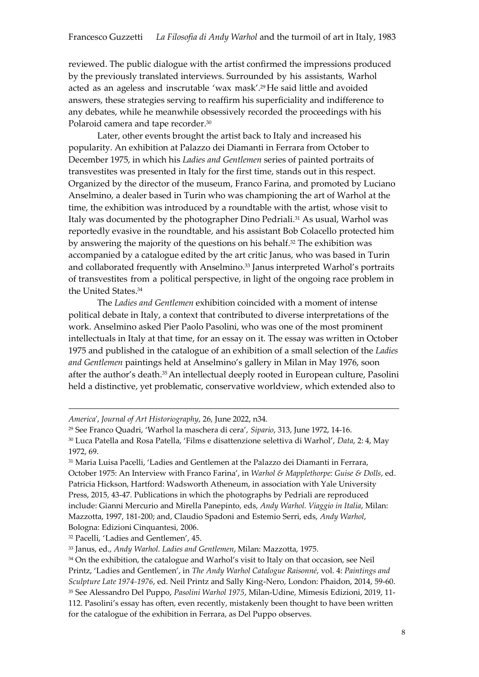reviewed. The public dialogue with the artist confirmed the impressions produced by the previously translated interviews. Surrounded by his assistants, Warhol acted as an ageless and inscrutable 'wax mask'.<sup>29</sup> He said little and avoided answers, these strategies serving to reaffirm his superficiality and indifference to any debates, while he meanwhile obsessively recorded the proceedings with his Polaroid camera and tape recorder.<sup>30</sup>

Later, other events brought the artist back to Italy and increased his popularity. An exhibition at Palazzo dei Diamanti in Ferrara from October to December 1975, in which his *Ladies and Gentlemen* series of painted portraits of transvestites was presented in Italy for the first time, stands out in this respect. Organized by the director of the museum, Franco Farina, and promoted by Luciano Anselmino, a dealer based in Turin who was championing the art of Warhol at the time, the exhibition was introduced by a roundtable with the artist, whose visit to Italy was documented by the photographer Dino Pedriali.<sup>31</sup> As usual, Warhol was reportedly evasive in the roundtable, and his assistant Bob Colacello protected him by answering the majority of the questions on his behalf.<sup>32</sup> The exhibition was accompanied by a catalogue edited by the art critic Janus, who was based in Turin and collaborated frequently with Anselmino.<sup>33</sup> Janus interpreted Warhol's portraits of transvestites from a political perspective, in light of the ongoing race problem in the United States. 34

The *Ladies and Gentlemen* exhibition coincided with a moment of intense political debate in Italy, a context that contributed to diverse interpretations of the work. Anselmino asked Pier Paolo Pasolini, who was one of the most prominent intellectuals in Italy at that time, for an essay on it. The essay was written in October 1975 and published in the catalogue of an exhibition of a small selection of the *Ladies and Gentlemen* paintings held at Anselmino's gallery in Milan in May 1976, soon after the author's death. <sup>35</sup>An intellectual deeply rooted in European culture, Pasolini held a distinctive, yet problematic, conservative worldview, which extended also to

*America*', *Journal of Art Historiography*, 26, June 2022, n34.

<sup>32</sup> Pacelli, 'Ladies and Gentlemen', 45.

<u>.</u>

<sup>29</sup> See Franco Quadri, 'Warhol la maschera di cera', *Sipario*, 313, June 1972, 14-16. <sup>30</sup> Luca Patella and Rosa Patella, 'Films e disattenzione selettiva di Warhol', *Data*, 2: 4, May 1972, 69.

<sup>31</sup> Maria Luisa Pacelli, 'Ladies and Gentlemen at the Palazzo dei Diamanti in Ferrara, October 1975: An Interview with Franco Farina', in *Warhol & Mapplethorpe: Guise & Dolls*, ed. Patricia Hickson, Hartford: Wadsworth Atheneum, in association with Yale University Press, 2015, 43-47. Publications in which the photographs by Pedriali are reproduced include: Gianni Mercurio and Mirella Panepinto, eds, *Andy Warhol. Viaggio in Italia*, Milan: Mazzotta, 1997, 181-200; and, Claudio Spadoni and Estemio Serri, eds, *Andy Warhol*, Bologna: Edizioni Cinquantesi, 2006.

<sup>33</sup> Janus, ed., *Andy Warhol. Ladies and Gentlemen*, Milan: Mazzotta, 1975.

<sup>34</sup> On the exhibition, the catalogue and Warhol's visit to Italy on that occasion, see Neil Printz, 'Ladies and Gentlemen', in *The Andy Warhol Catalogue Raisonné*, vol. 4: *Paintings and Sculpture Late 1974-1976*, ed. Neil Printz and Sally King-Nero, London: Phaidon, 2014, 59-60. <sup>35</sup> See Alessandro Del Puppo, *Pasolini Warhol 1975*, Milan-Udine, Mimesis Edizioni, 2019, 11- 112. Pasolini's essay has often, even recently, mistakenly been thought to have been written for the catalogue of the exhibition in Ferrara, as Del Puppo observes.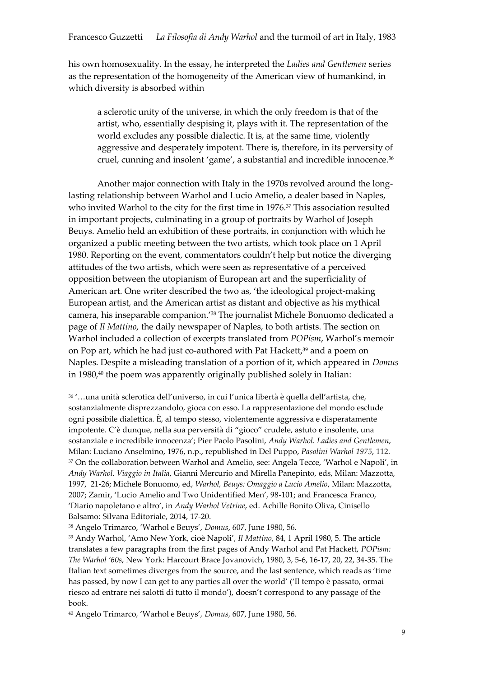his own homosexuality. In the essay, he interpreted the *Ladies and Gentlemen* series as the representation of the homogeneity of the American view of humankind, in which diversity is absorbed within

a sclerotic unity of the universe, in which the only freedom is that of the artist, who, essentially despising it, plays with it. The representation of the world excludes any possible dialectic. It is, at the same time, violently aggressive and desperately impotent. There is, therefore, in its perversity of cruel, cunning and insolent 'game', a substantial and incredible innocence.<sup>36</sup>

Another major connection with Italy in the 1970s revolved around the longlasting relationship between Warhol and Lucio Amelio, a dealer based in Naples, who invited Warhol to the city for the first time in 1976.<sup>37</sup> This association resulted in important projects, culminating in a group of portraits by Warhol of Joseph Beuys. Amelio held an exhibition of these portraits, in conjunction with which he organized a public meeting between the two artists, which took place on 1 April 1980. Reporting on the event, commentators couldn't help but notice the diverging attitudes of the two artists, which were seen as representative of a perceived opposition between the utopianism of European art and the superficiality of American art. One writer described the two as, 'the ideological project-making European artist, and the American artist as distant and objective as his mythical camera, his inseparable companion.'<sup>38</sup> The journalist Michele Bonuomo dedicated a page of *Il Mattino*, the daily newspaper of Naples, to both artists. The section on Warhol included a collection of excerpts translated from *POPism*, Warhol's memoir on Pop art, which he had just co-authored with Pat Hackett,<sup>39</sup> and a poem on Naples. Despite a misleading translation of a portion of it, which appeared in *Domus* in 1980,<sup>40</sup> the poem was apparently originally published solely in Italian:

<sup>36</sup> '…una unità sclerotica dell'universo, in cui l'unica libertà è quella dell'artista, che, sostanzialmente disprezzandolo, gioca con esso. La rappresentazione del mondo esclude ogni possibile dialettica. È, al tempo stesso, violentemente aggressiva e disperatamente impotente. C'è dunque, nella sua perversità di "gioco" crudele, astuto e insolente, una sostanziale e incredibile innocenza'; Pier Paolo Pasolini, *Andy Warhol. Ladies and Gentlemen*, Milan: Luciano Anselmino, 1976, n.p., republished in Del Puppo, *Pasolini Warhol 1975*, 112. <sup>37</sup> On the collaboration between Warhol and Amelio, see: Angela Tecce, 'Warhol e Napoli', in *Andy Warhol. Viaggio in Italia*, Gianni Mercurio and Mirella Panepinto, eds, Milan: Mazzotta, 1997, 21-26; Michele Bonuomo, ed, *Warhol, Beuys: Omaggio a Lucio Amelio*, Milan: Mazzotta, 2007; Zamir, 'Lucio Amelio and Two Unidentified Men', 98-101; and Francesca Franco, 'Diario napoletano e altro', in *Andy Warhol Vetrine*, ed. Achille Bonito Oliva, Cinisello Balsamo: Silvana Editoriale, 2014, 17-20.

<sup>38</sup> Angelo Trimarco, 'Warhol e Beuys', *Domus*, 607, June 1980, 56.

<sup>39</sup> Andy Warhol, 'Amo New York, cioè Napoli', *Il Mattino*, 84, 1 April 1980, 5. The article translates a few paragraphs from the first pages of Andy Warhol and Pat Hackett, *POPism: The Warhol '60s*, New York: Harcourt Brace Jovanovich, 1980, 3, 5-6, 16-17, 20, 22, 34-35. The Italian text sometimes diverges from the source, and the last sentence, which reads as 'time has passed, by now I can get to any parties all over the world' ('Il tempo è passato, ormai riesco ad entrare nei salotti di tutto il mondo'), doesn't correspond to any passage of the book.

<sup>40</sup> Angelo Trimarco, 'Warhol e Beuys', *Domus*, 607, June 1980, 56.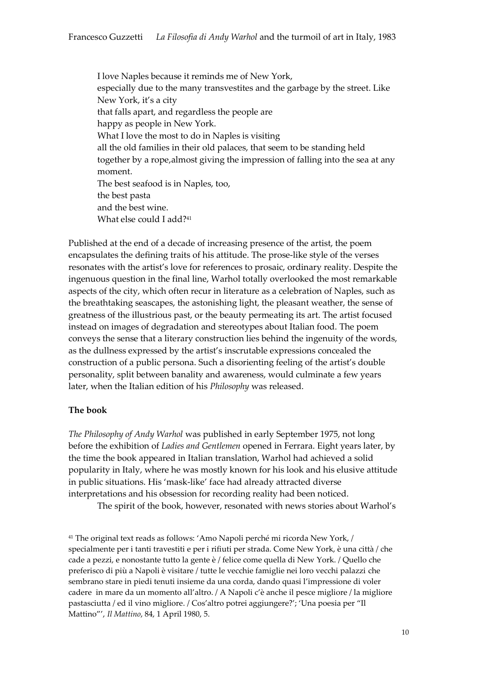I love Naples because it reminds me of New York, especially due to the many transvestites and the garbage by the street. Like New York, it's a city that falls apart, and regardless the people are happy as people in New York. What I love the most to do in Naples is visiting all the old families in their old palaces, that seem to be standing held together by a rope,almost giving the impression of falling into the sea at any moment. The best seafood is in Naples, too, the best pasta and the best wine. What else could I add?<sup>41</sup>

Published at the end of a decade of increasing presence of the artist, the poem encapsulates the defining traits of his attitude. The prose-like style of the verses resonates with the artist's love for references to prosaic, ordinary reality. Despite the ingenuous question in the final line, Warhol totally overlooked the most remarkable aspects of the city, which often recur in literature as a celebration of Naples, such as the breathtaking seascapes, the astonishing light, the pleasant weather, the sense of greatness of the illustrious past, or the beauty permeating its art. The artist focused instead on images of degradation and stereotypes about Italian food. The poem conveys the sense that a literary construction lies behind the ingenuity of the words, as the dullness expressed by the artist's inscrutable expressions concealed the construction of a public persona. Such a disorienting feeling of the artist's double personality, split between banality and awareness, would culminate a few years later, when the Italian edition of his *Philosophy* was released.

## **The book**

*The Philosophy of Andy Warhol* was published in early September 1975, not long before the exhibition of *Ladies and Gentlemen* opened in Ferrara. Eight years later, by the time the book appeared in Italian translation, Warhol had achieved a solid popularity in Italy, where he was mostly known for his look and his elusive attitude in public situations. His 'mask-like' face had already attracted diverse interpretations and his obsession for recording reality had been noticed.

The spirit of the book, however, resonated with news stories about Warhol's

<sup>41</sup> The original text reads as follows: 'Amo Napoli perché mi ricorda New York, / specialmente per i tanti travestiti e per i rifiuti per strada. Come New York, è una città / che cade a pezzi, e nonostante tutto la gente è / felice come quella di New York. / Quello che preferisco di più a Napoli è visitare / tutte le vecchie famiglie nei loro vecchi palazzi che sembrano stare in piedi tenuti insieme da una corda, dando quasi l'impressione di voler cadere in mare da un momento all'altro. / A Napoli c'è anche il pesce migliore / la migliore pastasciutta / ed il vino migliore. / Cos'altro potrei aggiungere?'; 'Una poesia per "Il Mattino"', *Il Mattino*, 84, 1 April 1980, 5.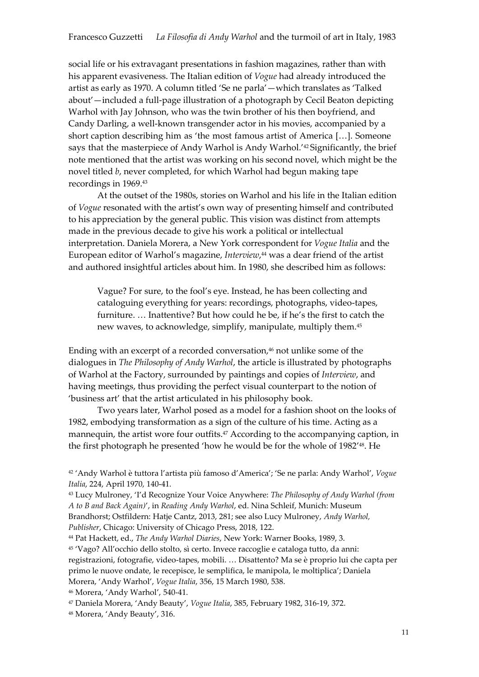social life or his extravagant presentations in fashion magazines, rather than with his apparent evasiveness. The Italian edition of *Vogue* had already introduced the artist as early as 1970. A column titled 'Se ne parla'—which translates as 'Talked about'—included a full-page illustration of a photograph by Cecil Beaton depicting Warhol with Jay Johnson, who was the twin brother of his then boyfriend, and Candy Darling, a well-known transgender actor in his movies, accompanied by a short caption describing him as 'the most famous artist of America […]. Someone says that the masterpiece of Andy Warhol is Andy Warhol.'<sup>42</sup> Significantly, the brief note mentioned that the artist was working on his second novel, which might be the novel titled *b*, never completed, for which Warhol had begun making tape recordings in 1969.<sup>43</sup>

At the outset of the 1980s, stories on Warhol and his life in the Italian edition of *Vogue* resonated with the artist's own way of presenting himself and contributed to his appreciation by the general public. This vision was distinct from attempts made in the previous decade to give his work a political or intellectual interpretation. Daniela Morera, a New York correspondent for *Vogue Italia* and the European editor of Warhol's magazine, *Interview*, <sup>44</sup> was a dear friend of the artist and authored insightful articles about him. In 1980, she described him as follows:

Vague? For sure, to the fool's eye. Instead, he has been collecting and cataloguing everything for years: recordings, photographs, video-tapes, furniture. … Inattentive? But how could he be, if he's the first to catch the new waves, to acknowledge, simplify, manipulate, multiply them.<sup>45</sup>

Ending with an excerpt of a recorded conversation, <sup>46</sup> not unlike some of the dialogues in *The Philosophy of Andy Warhol*, the article is illustrated by photographs of Warhol at the Factory, surrounded by paintings and copies of *Interview*, and having meetings, thus providing the perfect visual counterpart to the notion of 'business art' that the artist articulated in his philosophy book.

Two years later, Warhol posed as a model for a fashion shoot on the looks of 1982, embodying transformation as a sign of the culture of his time. Acting as a mannequin, the artist wore four outfits.<sup>47</sup> According to the accompanying caption, in the first photograph he presented 'how he would be for the whole of 1982' <sup>48</sup>. He

<sup>44</sup> Pat Hackett, ed., *The Andy Warhol Diaries*, New York: Warner Books, 1989, 3.

<sup>45</sup> 'Vago? All'occhio dello stolto, sì certo. Invece raccoglie e cataloga tutto, da anni: registrazioni, fotografie, video-tapes, mobili. … Disattento? Ma se è proprio lui che capta per primo le nuove ondate, le recepisce, le semplifica, le manipola, le moltiplica'; Daniela Morera, 'Andy Warhol', *Vogue Italia*, 356, 15 March 1980, 538.

<sup>46</sup> Morera, 'Andy Warhol', 540-41.

<sup>48</sup> Morera, 'Andy Beauty', 316.

<sup>42</sup> 'Andy Warhol è tuttora l'artista più famoso d'America'; 'Se ne parla: Andy Warhol', *Vogue Italia*, 224, April 1970, 140-41.

<sup>43</sup> Lucy Mulroney, 'I'd Recognize Your Voice Anywhere: *The Philosophy of Andy Warhol (from A to B and Back Again)*', in *Reading Andy Warhol*, ed. Nina Schleif, Munich: Museum Brandhorst; Ostfildern: Hatje Cantz, 2013, 281; see also Lucy Mulroney, *Andy Warhol, Publisher*, Chicago: University of Chicago Press, 2018, 122.

<sup>47</sup> Daniela Morera, 'Andy Beauty', *Vogue Italia*, 385, February 1982, 316-19, 372.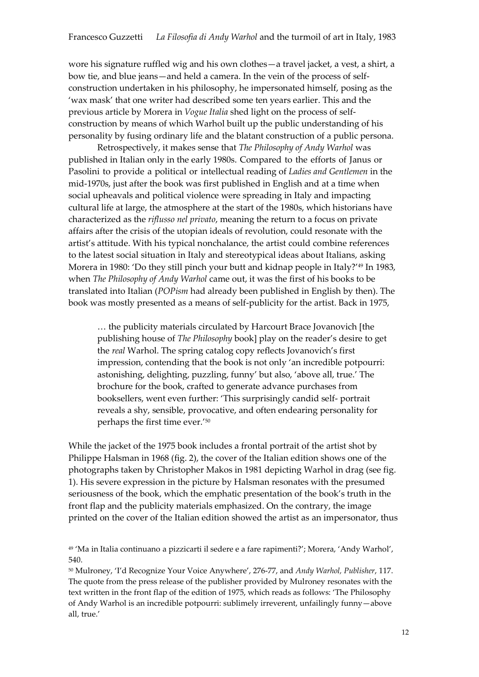wore his signature ruffled wig and his own clothes—a travel jacket, a vest, a shirt, a bow tie, and blue jeans—and held a camera. In the vein of the process of selfconstruction undertaken in his philosophy, he impersonated himself, posing as the 'wax mask' that one writer had described some ten years earlier. This and the previous article by Morera in *Vogue Italia* shed light on the process of selfconstruction by means of which Warhol built up the public understanding of his personality by fusing ordinary life and the blatant construction of a public persona.

Retrospectively, it makes sense that *The Philosophy of Andy Warhol* was published in Italian only in the early 1980s. Compared to the efforts of Janus or Pasolini to provide a political or intellectual reading of *Ladies and Gentlemen* in the mid-1970s, just after the book was first published in English and at a time when social upheavals and political violence were spreading in Italy and impacting cultural life at large, the atmosphere at the start of the 1980s, which historians have characterized as the *riflusso nel privato*, meaning the return to a focus on private affairs after the crisis of the utopian ideals of revolution, could resonate with the artist's attitude. With his typical nonchalance, the artist could combine references to the latest social situation in Italy and stereotypical ideas about Italians, asking Morera in 1980: 'Do they still pinch your butt and kidnap people in Italy?'<sup>49</sup> In 1983, when *The Philosophy of Andy Warhol* came out, it was the first of his books to be translated into Italian (*POPism* had already been published in English by then). The book was mostly presented as a means of self-publicity for the artist. Back in 1975,

… the publicity materials circulated by Harcourt Brace Jovanovich [the publishing house of *The Philosophy* book] play on the reader's desire to get the *real* Warhol. The spring catalog copy reflects Jovanovich's first impression, contending that the book is not only 'an incredible potpourri: astonishing, delighting, puzzling, funny' but also, 'above all, true.' The brochure for the book, crafted to generate advance purchases from booksellers, went even further: 'This surprisingly candid self- portrait reveals a shy, sensible, provocative, and often endearing personality for perhaps the first time ever.' 50

While the jacket of the 1975 book includes a frontal portrait of the artist shot by Philippe Halsman in 1968 (fig. 2), the cover of the Italian edition shows one of the photographs taken by Christopher Makos in 1981 depicting Warhol in drag (see fig. 1). His severe expression in the picture by Halsman resonates with the presumed seriousness of the book, which the emphatic presentation of the book's truth in the front flap and the publicity materials emphasized. On the contrary, the image printed on the cover of the Italian edition showed the artist as an impersonator, thus

<sup>50</sup> Mulroney, 'I'd Recognize Your Voice Anywhere', 276-77, and *Andy Warhol, Publisher*, 117. The quote from the press release of the publisher provided by Mulroney resonates with the text written in the front flap of the edition of 1975, which reads as follows: 'The Philosophy of Andy Warhol is an incredible potpourri: sublimely irreverent, unfailingly funny—above all, true.'

<sup>49</sup> 'Ma in Italia continuano a pizzicarti il sedere e a fare rapimenti?'; Morera, 'Andy Warhol', 540.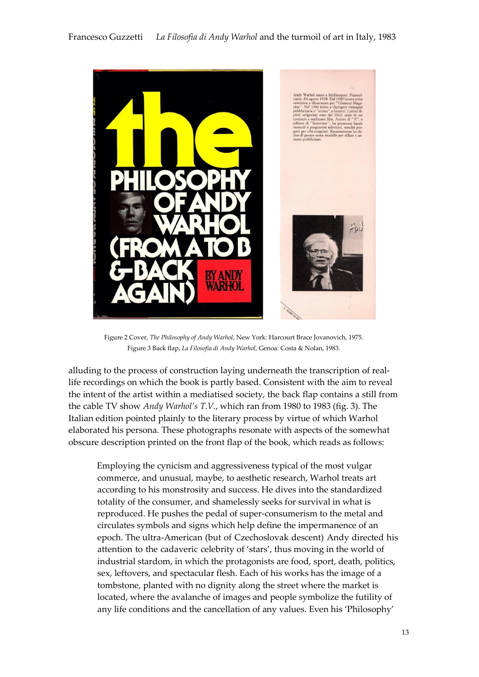

Figure 2 Cover, *The Philosophy of Andy Warhol*, New York: Harcourt Brace Jovanovich, 1975. Figure 3 Back flap, *La Filosofia di Andy Warhol*, Genoa: Costa & Nolan, 1983.

alluding to the process of construction laying underneath the transcription of reallife recordings on which the book is partly based. Consistent with the aim to reveal the intent of the artist within a mediatised society, the back flap contains a still from the cable TV show *Andy Warhol's T.V.*, which ran from 1980 to 1983 (fig. 3). The Italian edition pointed plainly to the literary process by virtue of which Warhol elaborated his persona. These photographs resonate with aspects of the somewhat obscure description printed on the front flap of the book, which reads as follows:

Employing the cynicism and aggressiveness typical of the most vulgar commerce, and unusual, maybe, to aesthetic research, Warhol treats art according to his monstrosity and success. He dives into the standardized totality of the consumer, and shamelessly seeks for survival in what is reproduced. He pushes the pedal of super-consumerism to the metal and circulates symbols and signs which help define the impermanence of an epoch. The ultra-American (but of Czechoslovak descent) Andy directed his attention to the cadaveric celebrity of 'stars', thus moving in the world of industrial stardom, in which the protagonists are food, sport, death, politics, sex, leftovers, and spectacular flesh. Each of his works has the image of a tombstone, planted with no dignity along the street where the market is located, where the avalanche of images and people symbolize the futility of any life conditions and the cancellation of any values. Even his 'Philosophy'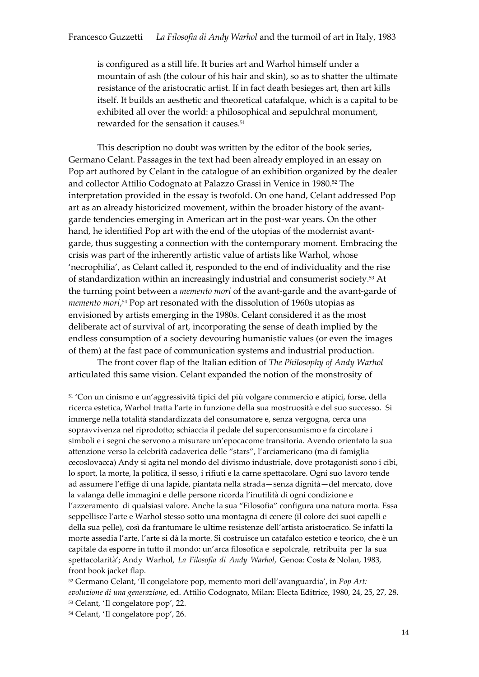is configured as a still life. It buries art and Warhol himself under a mountain of ash (the colour of his hair and skin), so as to shatter the ultimate resistance of the aristocratic artist. If in fact death besieges art, then art kills itself. It builds an aesthetic and theoretical catafalque, which is a capital to be exhibited all over the world: a philosophical and sepulchral monument, rewarded for the sensation it causes.<sup>51</sup>

This description no doubt was written by the editor of the book series, Germano Celant. Passages in the text had been already employed in an essay on Pop art authored by Celant in the catalogue of an exhibition organized by the dealer and collector Attilio Codognato at Palazzo Grassi in Venice in 1980.<sup>52</sup> The interpretation provided in the essay is twofold. On one hand, Celant addressed Pop art as an already historicized movement, within the broader history of the avantgarde tendencies emerging in American art in the post-war years. On the other hand, he identified Pop art with the end of the utopias of the modernist avantgarde, thus suggesting a connection with the contemporary moment. Embracing the crisis was part of the inherently artistic value of artists like Warhol, whose 'necrophilia', as Celant called it, responded to the end of individuality and the rise of standardization within an increasingly industrial and consumerist society.<sup>53</sup> At the turning point between a *memento mori* of the avant-garde and the avant-garde of *memento mori*, <sup>54</sup> Pop art resonated with the dissolution of 1960s utopias as envisioned by artists emerging in the 1980s. Celant considered it as the most deliberate act of survival of art, incorporating the sense of death implied by the endless consumption of a society devouring humanistic values (or even the images of them) at the fast pace of communication systems and industrial production.

The front cover flap of the Italian edition of *The Philosophy of Andy Warhol*  articulated this same vision. Celant expanded the notion of the monstrosity of

<sup>51</sup> 'Con un cinismo e un'aggressività tipici del più volgare commercio e atipici, forse, della ricerca estetica, Warhol tratta l'arte in funzione della sua mostruosità e del suo successo. Si immerge nella totalità standardizzata del consumatore e, senza vergogna, cerca una sopravvivenza nel riprodotto; schiaccia il pedale del superconsumismo e fa circolare i simboli e i segni che servono a misurare un'epocacome transitoria. Avendo orientato la sua attenzione verso la celebrità cadaverica delle "stars", l'arciamericano (ma di famiglia cecoslovacca) Andy si agita nel mondo del divismo industriale, dove protagonisti sono i cibi, lo sport, la morte, la politica, il sesso, i rifiuti e la carne spettacolare. Ogni suo lavoro tende ad assumere l'effige di una lapide, piantata nella strada—senza dignità—del mercato, dove la valanga delle immagini e delle persone ricorda l'inutilità di ogni condizione e l'azzeramento di qualsiasi valore. Anche la sua "Filosofia" configura una natura morta. Essa seppellisce l'arte e Warhol stesso sotto una montagna di cenere (il colore dei suoi capelli e della sua pelle), così da frantumare le ultime resistenze dell'artista aristocratico. Se infatti la morte assedia l'arte, l'arte si dà la morte. Si costruisce un catafalco estetico e teorico, che è un capitale da esporre in tutto il mondo: un'arca filosofica e sepolcrale, retribuita per la sua spettacolarità'; Andy Warhol, *La Filosofia di Andy Warhol*, Genoa: Costa & Nolan, 1983, front book jacket flap.

<sup>52</sup> Germano Celant, 'Il congelatore pop, memento mori dell'avanguardia', in *Pop Art: evoluzione di una generazione*, ed. Attilio Codognato, Milan: Electa Editrice, 1980, 24, 25, 27, 28. <sup>53</sup> Celant, 'Il congelatore pop', 22.

<sup>54</sup> Celant, 'Il congelatore pop', 26.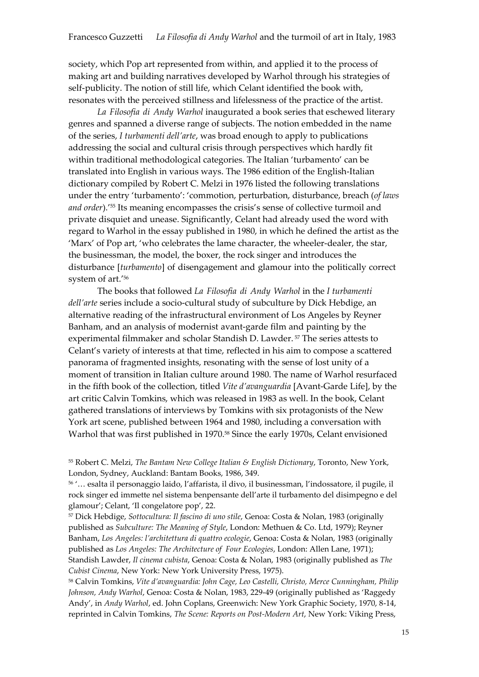society, which Pop art represented from within, and applied it to the process of making art and building narratives developed by Warhol through his strategies of self-publicity. The notion of still life, which Celant identified the book with, resonates with the perceived stillness and lifelessness of the practice of the artist.

*La Filosofia di Andy Warhol* inaugurated a book series that eschewed literary genres and spanned a diverse range of subjects. The notion embedded in the name of the series, *I turbamenti dell'arte*, was broad enough to apply to publications addressing the social and cultural crisis through perspectives which hardly fit within traditional methodological categories. The Italian 'turbamento' can be translated into English in various ways. The 1986 edition of the English-Italian dictionary compiled by Robert C. Melzi in 1976 listed the following translations under the entry 'turbamento': 'commotion, perturbation, disturbance, breach (*of laws and order*).'<sup>55</sup> Its meaning encompasses the crisis's sense of collective turmoil and private disquiet and unease. Significantly, Celant had already used the word with regard to Warhol in the essay published in 1980, in which he defined the artist as the 'Marx' of Pop art, 'who celebrates the lame character, the wheeler-dealer, the star, the businessman, the model, the boxer, the rock singer and introduces the disturbance [*turbamento*] of disengagement and glamour into the politically correct system of art.'<sup>56</sup>

The books that followed *La Filosofia di Andy Warhol* in the *I turbamenti dell'arte* series include a socio-cultural study of subculture by Dick Hebdige, an alternative reading of the infrastructural environment of Los Angeles by Reyner Banham, and an analysis of modernist avant-garde film and painting by the experimental filmmaker and scholar Standish D. Lawder. <sup>57</sup> The series attests to Celant's variety of interests at that time, reflected in his aim to compose a scattered panorama of fragmented insights, resonating with the sense of lost unity of a moment of transition in Italian culture around 1980. The name of Warhol resurfaced in the fifth book of the collection, titled *Vite d'avanguardia* [Avant-Garde Life], by the art critic Calvin Tomkins, which was released in 1983 as well. In the book, Celant gathered translations of interviews by Tomkins with six protagonists of the New York art scene, published between 1964 and 1980, including a conversation with Warhol that was first published in 1970.<sup>58</sup> Since the early 1970s, Celant envisioned

<sup>56</sup> '… esalta il personaggio laido, l'affarista, il divo, il businessman, l'indossatore, il pugile, il rock singer ed immette nel sistema benpensante dell'arte il turbamento del disimpegno e del glamour'; Celant, 'Il congelatore pop', 22.

<sup>57</sup> Dick Hebdige, *Sottocultura: Il fascino di uno stile*, Genoa: Costa & Nolan, 1983 (originally published as *Subculture: The Meaning of Style*, London: Methuen & Co. Ltd, 1979); Reyner Banham, *Los Angeles: l'architettura di quattro ecologie*, Genoa: Costa & Nolan, 1983 (originally published as *Los Angeles: The Architecture of Four Ecologies*, London: Allen Lane, 1971); Standish Lawder, *Il cinema cubista*, Genoa: Costa & Nolan, 1983 (originally published as *The Cubist Cinema*, New York: New York University Press, 1975).

<sup>58</sup> Calvin Tomkins, *Vite d'avanguardia: John Cage, Leo Castelli, Christo, Merce Cunningham, Philip Johnson, Andy Warhol*, Genoa: Costa & Nolan, 1983, 229-49 (originally published as 'Raggedy Andy', in *Andy Warhol*, ed. John Coplans, Greenwich: New York Graphic Society, 1970, 8-14, reprinted in Calvin Tomkins, *The Scene: Reports on Post-Modern Art*, New York: Viking Press,

<sup>55</sup> Robert C. Melzi, *The Bantam New College Italian & English Dictionary*, Toronto, New York, London, Sydney, Auckland: Bantam Books, 1986, 349.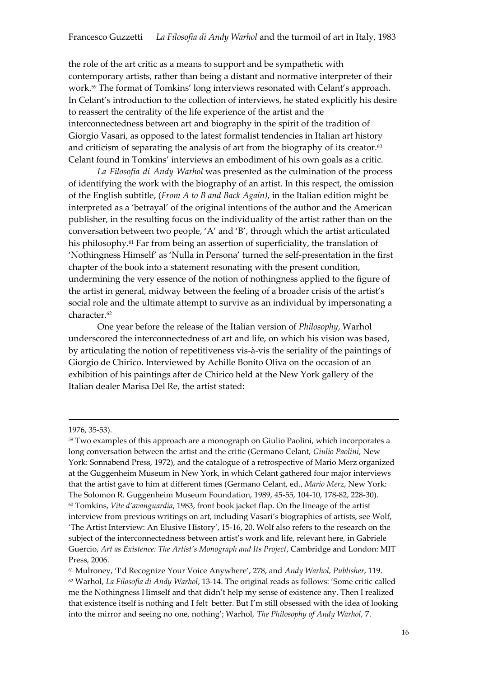the role of the art critic as a means to support and be sympathetic with contemporary artists, rather than being a distant and normative interpreter of their work.<sup>59</sup> The format of Tomkins' long interviews resonated with Celant's approach. In Celant's introduction to the collection of interviews, he stated explicitly his desire to reassert the centrality of the life experience of the artist and the interconnectedness between art and biography in the spirit of the tradition of Giorgio Vasari, as opposed to the latest formalist tendencies in Italian art history and criticism of separating the analysis of art from the biography of its creator. $^{60}$ Celant found in Tomkins' interviews an embodiment of his own goals as a critic.

*La Filosofia di Andy Warhol* was presented as the culmination of the process of identifying the work with the biography of an artist. In this respect, the omission of the English subtitle, (*From A to B and Back Again)*, in the Italian edition might be interpreted as a 'betrayal' of the original intentions of the author and the American publisher, in the resulting focus on the individuality of the artist rather than on the conversation between two people, 'A' and 'B', through which the artist articulated his philosophy.<sup>61</sup> Far from being an assertion of superficiality, the translation of 'Nothingness Himself' as 'Nulla in Persona' turned the self-presentation in the first chapter of the book into a statement resonating with the present condition, undermining the very essence of the notion of nothingness applied to the figure of the artist in general, midway between the feeling of a broader crisis of the artist's social role and the ultimate attempt to survive as an individual by impersonating a character. 62

One year before the release of the Italian version of *Philosophy*, Warhol underscored the interconnectedness of art and life, on which his vision was based, by articulating the notion of repetitiveness vis-à-vis the seriality of the paintings of Giorgio de Chirico. Interviewed by Achille Bonito Oliva on the occasion of an exhibition of his paintings after de Chirico held at the New York gallery of the Italian dealer Marisa Del Re, the artist stated:

<u>.</u>

<sup>1976,</sup> 35-53).

<sup>59</sup> Two examples of this approach are a monograph on Giulio Paolini, which incorporates a long conversation between the artist and the critic (Germano Celant, *Giulio Paolini*, New York: Sonnabend Press, 1972), and the catalogue of a retrospective of Mario Merz organized at the Guggenheim Museum in New York, in which Celant gathered four major interviews that the artist gave to him at different times (Germano Celant, ed., *Mario Merz*, New York: The Solomon R. Guggenheim Museum Foundation, 1989, 45-55, 104-10, 178-82, 228-30). <sup>60</sup> Tomkins, *Vite d'avanguardia*, 1983, front book jacket flap. On the lineage of the artist interview from previous writings on art, including Vasari's biographies of artists, see Wolf, 'The Artist Interview: An Elusive History', 15-16, 20. Wolf also refers to the research on the subject of the interconnectedness between artist's work and life, relevant here, in Gabriele Guercio, *Art as Existence: The Artist's Monograph and Its Project*, Cambridge and London: MIT Press, 2006.

<sup>61</sup> Mulroney, 'I'd Recognize Your Voice Anywhere', 278, and *Andy Warhol, Publisher*, 119. <sup>62</sup> Warhol, *La Filosofia di Andy Warhol*, 13-14. The original reads as follows: 'Some critic called me the Nothingness Himself and that didn't help my sense of existence any. Then I realized that existence itself is nothing and I felt better. But I'm still obsessed with the idea of looking into the mirror and seeing no one, nothing'; Warhol, *The Philosophy of Andy Warhol*, 7.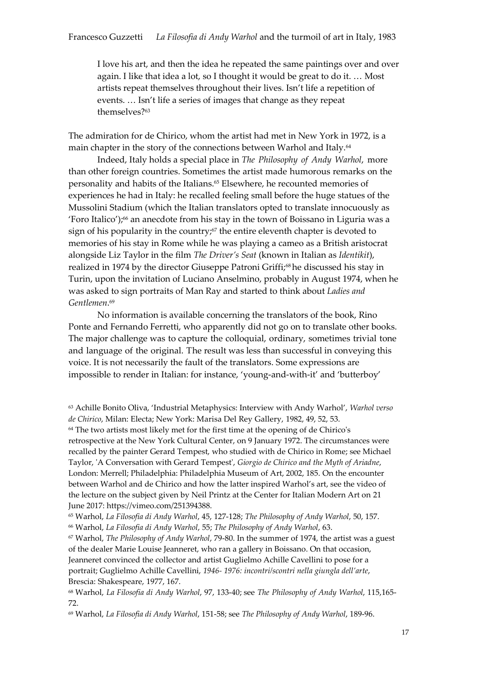I love his art, and then the idea he repeated the same paintings over and over again. I like that idea a lot, so I thought it would be great to do it. … Most artists repeat themselves throughout their lives. Isn't life a repetition of events. … Isn't life a series of images that change as they repeat themselves?<sup>63</sup>

The admiration for de Chirico, whom the artist had met in New York in 1972, is a main chapter in the story of the connections between Warhol and Italy.<sup>64</sup>

Indeed, Italy holds a special place in *The Philosophy of Andy Warhol*, more than other foreign countries. Sometimes the artist made humorous remarks on the personality and habits of the Italians.<sup>65</sup> Elsewhere, he recounted memories of experiences he had in Italy: he recalled feeling small before the huge statues of the Mussolini Stadium (which the Italian translators opted to translate innocuously as 'Foro Italico'); <sup>66</sup> an anecdote from his stay in the town of Boissano in Liguria was a sign of his popularity in the country; <sup>67</sup> the entire eleventh chapter is devoted to memories of his stay in Rome while he was playing a cameo as a British aristocrat alongside Liz Taylor in the film *The Driver's Seat* (known in Italian as *Identikit*), realized in 1974 by the director Giuseppe Patroni Griffi;<sup>68</sup> he discussed his stay in Turin, upon the invitation of Luciano Anselmino, probably in August 1974, when he was asked to sign portraits of Man Ray and started to think about *Ladies and Gentlemen*. 69

No information is available concerning the translators of the book, Rino Ponte and Fernando Ferretti, who apparently did not go on to translate other books. The major challenge was to capture the colloquial, ordinary, sometimes trivial tone and language of the original. The result was less than successful in conveying this voice. It is not necessarily the fault of the translators. Some expressions are impossible to render in Italian: for instance, 'young-and-with-it' and 'butterboy'

<sup>63</sup> Achille Bonito Oliva, 'Industrial Metaphysics: Interview with Andy Warhol', *Warhol verso de Chirico*, Milan: Electa; New York: Marisa Del Rey Gallery, 1982, 49, 52, 53. <sup>64</sup> The two artists most likely met for the first time at the opening of de Chirico's retrospective at the New York Cultural Center, on 9 January 1972. The circumstances were recalled by the painter Gerard Tempest, who studied with de Chirico in Rome; see Michael Taylor, 'A Conversation with Gerard Tempest', *Giorgio de Chirico and the Myth of Ariadne*, London: Merrell; Philadelphia: Philadelphia Museum of Art, 2002, 185. On the encounter between Warhol and de Chirico and how the latter inspired Warhol's art, see the video of the lecture on the subject given by Neil Printz at the Center for Italian Modern Art on 21 June 2017: https://vimeo.com/251394388.

<sup>65</sup> Warhol, *La Filosofia di Andy Warhol*, 45, 127-128; *The Philosophy of Andy Warhol*, 50, 157. <sup>66</sup> Warhol, *La Filosofia di Andy Warhol*, 55; *The Philosophy of Andy Warhol*, 63.

<sup>67</sup> Warhol, *The Philosophy of Andy Warhol*, 79-80. In the summer of 1974, the artist was a guest of the dealer Marie Louise Jeanneret, who ran a gallery in Boissano. On that occasion, Jeanneret convinced the collector and artist Guglielmo Achille Cavellini to pose for a portrait; Guglielmo Achille Cavellini, *1946- 1976: incontri/scontri nella giungla dell'arte*, Brescia: Shakespeare, 1977, 167.

<sup>68</sup> Warhol, *La Filosofia di Andy Warhol*, 97, 133-40; see *The Philosophy of Andy Warhol*, 115,165- 72.

<sup>69</sup> Warhol, *La Filosofia di Andy Warhol*, 151-58; see *The Philosophy of Andy Warhol*, 189-96.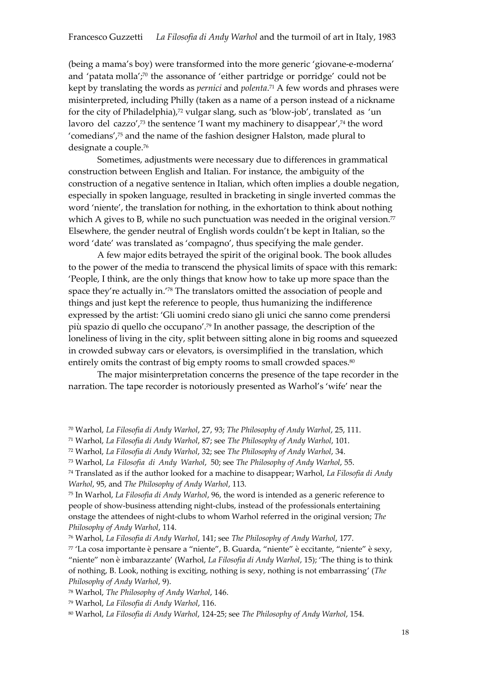(being a mama's boy) were transformed into the more generic 'giovane-e-moderna' and 'patata molla'; <sup>70</sup> the assonance of 'either partridge or porridge' could not be kept by translating the words as *pernici* and *polenta*. <sup>71</sup> A few words and phrases were misinterpreted, including Philly (taken as a name of a person instead of a nickname for the city of Philadelphia),<sup>72</sup> vulgar slang, such as 'blow-job', translated as 'un lavoro del cazzo',<sup>73</sup> the sentence 'I want my machinery to disappear', <sup>74</sup> the word 'comedians', <sup>75</sup> and the name of the fashion designer Halston, made plural to designate a couple.<sup>76</sup>

Sometimes, adjustments were necessary due to differences in grammatical construction between English and Italian. For instance, the ambiguity of the construction of a negative sentence in Italian, which often implies a double negation, especially in spoken language, resulted in bracketing in single inverted commas the word 'niente', the translation for nothing, in the exhortation to think about nothing which A gives to B, while no such punctuation was needed in the original version. $77$ Elsewhere, the gender neutral of English words couldn't be kept in Italian, so the word 'date' was translated as 'compagno', thus specifying the male gender.

A few major edits betrayed the spirit of the original book. The book alludes to the power of the media to transcend the physical limits of space with this remark: 'People, I think, are the only things that know how to take up more space than the space they're actually in.'<sup>78</sup> The translators omitted the association of people and things and just kept the reference to people, thus humanizing the indifference expressed by the artist: 'Gli uomini credo siano gli unici che sanno come prendersi più spazio di quello che occupano'. <sup>79</sup> In another passage, the description of the loneliness of living in the city, split between sitting alone in big rooms and squeezed in crowded subway cars or elevators, is oversimplified in the translation, which entirely omits the contrast of big empty rooms to small crowded spaces.<sup>80</sup>

The major misinterpretation concerns the presence of the tape recorder in the narration. The tape recorder is notoriously presented as Warhol's 'wife' near the

<sup>70</sup> Warhol, *La Filosofia di Andy Warhol*, 27, 93; *The Philosophy of Andy Warhol*, 25, 111.

<sup>71</sup> Warhol, *La Filosofia di Andy Warhol*, 87; see *The Philosophy of Andy Warhol*, 101.

<sup>72</sup> Warhol, *La Filosofia di Andy Warhol*, 32; see *The Philosophy of Andy Warhol*, 34.

<sup>73</sup> Warhol, *La Filosofia di Andy Warhol*, 50; see *The Philosophy of Andy Warhol*, 55.

<sup>74</sup> Translated as if the author looked for a machine to disappear; Warhol, *La Filosofia di Andy Warhol*, 95, and *The Philosophy of Andy Warhol*, 113.

<sup>75</sup> In Warhol, *La Filosofia di Andy Warhol*, 96, the word is intended as a generic reference to people of show-business attending night-clubs, instead of the professionals entertaining onstage the attendees of night-clubs to whom Warhol referred in the original version; *The Philosophy of Andy Warhol*, 114.

<sup>76</sup> Warhol, *La Filosofia di Andy Warhol*, 141; see *The Philosophy of Andy Warhol*, 177.

<sup>77</sup> 'La cosa importante è pensare a "niente", B. Guarda, "niente" è eccitante, "niente" è sexy, "niente" non è imbarazzante' (Warhol, *La Filosofia di Andy Warhol*, 15); 'The thing is to think of nothing, B. Look, nothing is exciting, nothing is sexy, nothing is not embarrassing' (*The Philosophy of Andy Warhol*, 9).

<sup>78</sup> Warhol, *The Philosophy of Andy Warhol*, 146.

<sup>79</sup> Warhol, *La Filosofia di Andy Warhol*, 116.

<sup>80</sup> Warhol, *La Filosofia di Andy Warhol*, 124-25; see *The Philosophy of Andy Warhol*, 154.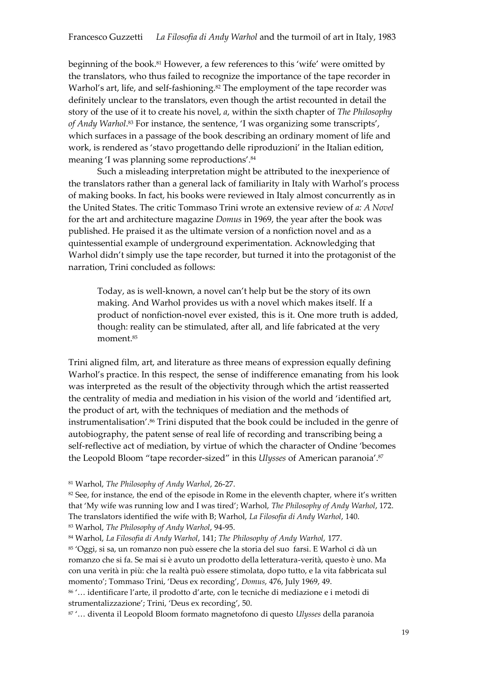beginning of the book.<sup>81</sup> However, a few references to this 'wife' were omitted by the translators, who thus failed to recognize the importance of the tape recorder in Warhol's art, life, and self-fashioning. <sup>82</sup> The employment of the tape recorder was definitely unclear to the translators, even though the artist recounted in detail the story of the use of it to create his novel, *a*, within the sixth chapter of *The Philosophy of Andy Warhol*. <sup>83</sup> For instance, the sentence, 'I was organizing some transcripts', which surfaces in a passage of the book describing an ordinary moment of life and work, is rendered as 'stavo progettando delle riproduzioni' in the Italian edition, meaning 'I was planning some reproductions'. 84

Such a misleading interpretation might be attributed to the inexperience of the translators rather than a general lack of familiarity in Italy with Warhol's process of making books. In fact, his books were reviewed in Italy almost concurrently as in the United States. The critic Tommaso Trini wrote an extensive review of *a: A Novel*  for the art and architecture magazine *Domus* in 1969, the year after the book was published. He praised it as the ultimate version of a nonfiction novel and as a quintessential example of underground experimentation. Acknowledging that Warhol didn't simply use the tape recorder, but turned it into the protagonist of the narration, Trini concluded as follows:

Today, as is well-known, a novel can't help but be the story of its own making. And Warhol provides us with a novel which makes itself. If a product of nonfiction-novel ever existed, this is it. One more truth is added, though: reality can be stimulated, after all, and life fabricated at the very moment.<sup>85</sup>

Trini aligned film, art, and literature as three means of expression equally defining Warhol's practice. In this respect, the sense of indifference emanating from his look was interpreted as the result of the objectivity through which the artist reasserted the centrality of media and mediation in his vision of the world and 'identified art, the product of art, with the techniques of mediation and the methods of instrumentalisation'.<sup>86</sup> Trini disputed that the book could be included in the genre of autobiography, the patent sense of real life of recording and transcribing being a self-reflective act of mediation, by virtue of which the character of Ondine 'becomes the Leopold Bloom "tape recorder-sized" in this *Ulysses* of American paranoia'. 87

<sup>85</sup> 'Oggi, si sa, un romanzo non può essere che la storia del suo farsi. E Warhol ci dà un romanzo che si fa. Se mai si è avuto un prodotto della letteratura-verità, questo è uno. Ma con una verità in più: che la realtà può essere stimolata, dopo tutto, e la vita fabbricata sul momento'; Tommaso Trini, 'Deus ex recording', *Domus*, 476, July 1969, 49.

<sup>86</sup> '… identificare l'arte, il prodotto d'arte, con le tecniche di mediazione e i metodi di strumentalizzazione'; Trini, 'Deus ex recording', 50.

<sup>87</sup> '… diventa il Leopold Bloom formato magnetofono di questo *Ulysses* della paranoia

<sup>81</sup> Warhol, *The Philosophy of Andy Warhol*, 26-27.

<sup>&</sup>lt;sup>82</sup> See, for instance, the end of the episode in Rome in the eleventh chapter, where it's written that 'My wife was running low and I was tired'; Warhol, *The Philosophy of Andy Warhol*, 172. The translators identified the wife with B; Warhol, *La Filosofia di Andy Warhol*, 140. <sup>83</sup> Warhol, *The Philosophy of Andy Warhol*, 94-95.

<sup>84</sup> Warhol, *La Filosofia di Andy Warhol*, 141; *The Philosophy of Andy Warhol*, 177.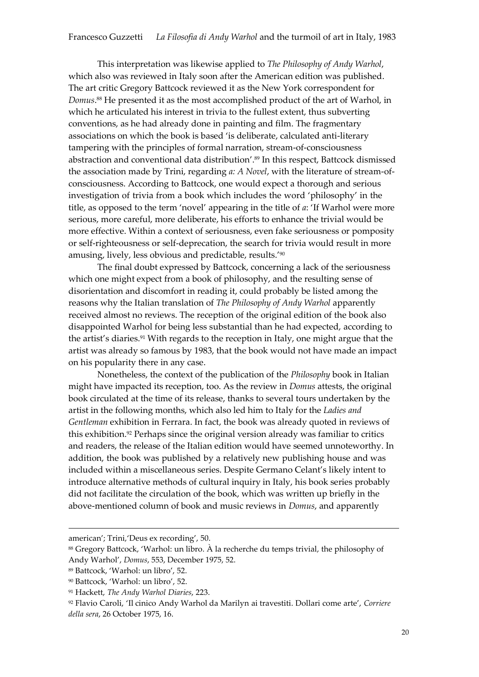This interpretation was likewise applied to *The Philosophy of Andy Warhol*, which also was reviewed in Italy soon after the American edition was published. The art critic Gregory Battcock reviewed it as the New York correspondent for *Domus*. <sup>88</sup> He presented it as the most accomplished product of the art of Warhol, in which he articulated his interest in trivia to the fullest extent, thus subverting conventions, as he had already done in painting and film. The fragmentary associations on which the book is based 'is deliberate, calculated anti-literary tampering with the principles of formal narration, stream-of-consciousness abstraction and conventional data distribution'. <sup>89</sup> In this respect, Battcock dismissed the association made by Trini, regarding *a: A Novel*, with the literature of stream-ofconsciousness. According to Battcock, one would expect a thorough and serious investigation of trivia from a book which includes the word 'philosophy' in the title, as opposed to the term 'novel' appearing in the title of *a*: 'If Warhol were more serious, more careful, more deliberate, his efforts to enhance the trivial would be more effective. Within a context of seriousness, even fake seriousness or pomposity or self-righteousness or self-deprecation, the search for trivia would result in more amusing, lively, less obvious and predictable, results.'<sup>90</sup>

The final doubt expressed by Battcock, concerning a lack of the seriousness which one might expect from a book of philosophy, and the resulting sense of disorientation and discomfort in reading it, could probably be listed among the reasons why the Italian translation of *The Philosophy of Andy Warhol* apparently received almost no reviews. The reception of the original edition of the book also disappointed Warhol for being less substantial than he had expected, according to the artist's diaries.<sup>91</sup> With regards to the reception in Italy, one might argue that the artist was already so famous by 1983, that the book would not have made an impact on his popularity there in any case.

Nonetheless, the context of the publication of the *Philosophy* book in Italian might have impacted its reception, too. As the review in *Domus* attests, the original book circulated at the time of its release, thanks to several tours undertaken by the artist in the following months, which also led him to Italy for the *Ladies and Gentleman* exhibition in Ferrara. In fact, the book was already quoted in reviews of this exhibition.<sup>92</sup> Perhaps since the original version already was familiar to critics and readers, the release of the Italian edition would have seemed unnoteworthy. In addition, the book was published by a relatively new publishing house and was included within a miscellaneous series. Despite Germano Celant's likely intent to introduce alternative methods of cultural inquiry in Italy, his book series probably did not facilitate the circulation of the book, which was written up briefly in the above-mentioned column of book and music reviews in *Domus*, and apparently

-

american'; Trini,'Deus ex recording', 50.

<sup>88</sup> Gregory Battcock, 'Warhol: un libro. À la recherche du temps trivial, the philosophy of Andy Warhol', *Domus*, 553, December 1975, 52.

<sup>89</sup> Battcock, 'Warhol: un libro', 52.

<sup>90</sup> Battcock, 'Warhol: un libro', 52.

<sup>91</sup> Hackett, *The Andy Warhol Diaries*, 223.

<sup>92</sup> Flavio Caroli, 'Il cinico Andy Warhol da Marilyn ai travestiti. Dollari come arte', *Corriere della sera*, 26 October 1975, 16.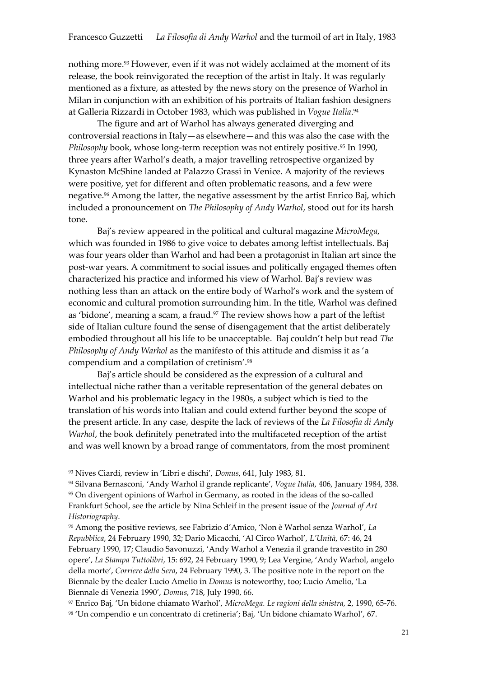nothing more. <sup>93</sup> However, even if it was not widely acclaimed at the moment of its release, the book reinvigorated the reception of the artist in Italy. It was regularly mentioned as a fixture, as attested by the news story on the presence of Warhol in Milan in conjunction with an exhibition of his portraits of Italian fashion designers at Galleria Rizzardi in October 1983, which was published in *Vogue Italia*. 94

The figure and art of Warhol has always generated diverging and controversial reactions in Italy—as elsewhere—and this was also the case with the *Philosophy* book, whose long-term reception was not entirely positive.<sup>95</sup> In 1990, three years after Warhol's death, a major travelling retrospective organized by Kynaston McShine landed at Palazzo Grassi in Venice. A majority of the reviews were positive, yet for different and often problematic reasons, and a few were negative.<sup>96</sup> Among the latter, the negative assessment by the artist Enrico Baj, which included a pronouncement on *The Philosophy of Andy Warhol*, stood out for its harsh tone.

Baj's review appeared in the political and cultural magazine *MicroMega*, which was founded in 1986 to give voice to debates among leftist intellectuals. Baj was four years older than Warhol and had been a protagonist in Italian art since the post-war years. A commitment to social issues and politically engaged themes often characterized his practice and informed his view of Warhol. Baj's review was nothing less than an attack on the entire body of Warhol's work and the system of economic and cultural promotion surrounding him. In the title, Warhol was defined as 'bidone', meaning a scam, a fraud.<sup>97</sup> The review shows how a part of the leftist side of Italian culture found the sense of disengagement that the artist deliberately embodied throughout all his life to be unacceptable. Baj couldn't help but read *The Philosophy of Andy Warhol* as the manifesto of this attitude and dismiss it as 'a compendium and a compilation of cretinism'.<sup>98</sup>

Baj's article should be considered as the expression of a cultural and intellectual niche rather than a veritable representation of the general debates on Warhol and his problematic legacy in the 1980s, a subject which is tied to the translation of his words into Italian and could extend further beyond the scope of the present article. In any case, despite the lack of reviews of the *La Filosofia di Andy Warhol*, the book definitely penetrated into the multifaceted reception of the artist and was well known by a broad range of commentators, from the most prominent

<sup>97</sup> Enrico Baj, 'Un bidone chiamato Warhol', *MicroMega. Le ragioni della sinistra*, 2, 1990, 65-76. <sup>98</sup> 'Un compendio e un concentrato di cretineria'; Baj, 'Un bidone chiamato Warhol', 67.

<sup>93</sup> Nives Ciardi, review in 'Libri e dischi', *Domus*, 641, July 1983, 81.

<sup>94</sup> Silvana Bernasconi, 'Andy Warhol il grande replicante', *Vogue Italia*, 406, January 1984, 338. 95 On divergent opinions of Warhol in Germany, as rooted in the ideas of the so-called Frankfurt School, see the article by Nina Schleif in the present issue of the *Journal of Art Historiography*.

<sup>96</sup> Among the positive reviews, see Fabrizio d'Amico, 'Non è Warhol senza Warhol', *La Repubblica*, 24 February 1990, 32; Dario Micacchi, 'Al Circo Warhol', *L'Unità*, 67: 46, 24 February 1990, 17; Claudio Savonuzzi, 'Andy Warhol a Venezia il grande travestito in 280 opere', *La Stampa Tuttolibri*, 15: 692, 24 February 1990, 9; Lea Vergine, 'Andy Warhol, angelo della morte', *Corriere della Sera*, 24 February 1990, 3. The positive note in the report on the Biennale by the dealer Lucio Amelio in *Domus* is noteworthy, too; Lucio Amelio, 'La Biennale di Venezia 1990', *Domus*, 718, July 1990, 66.